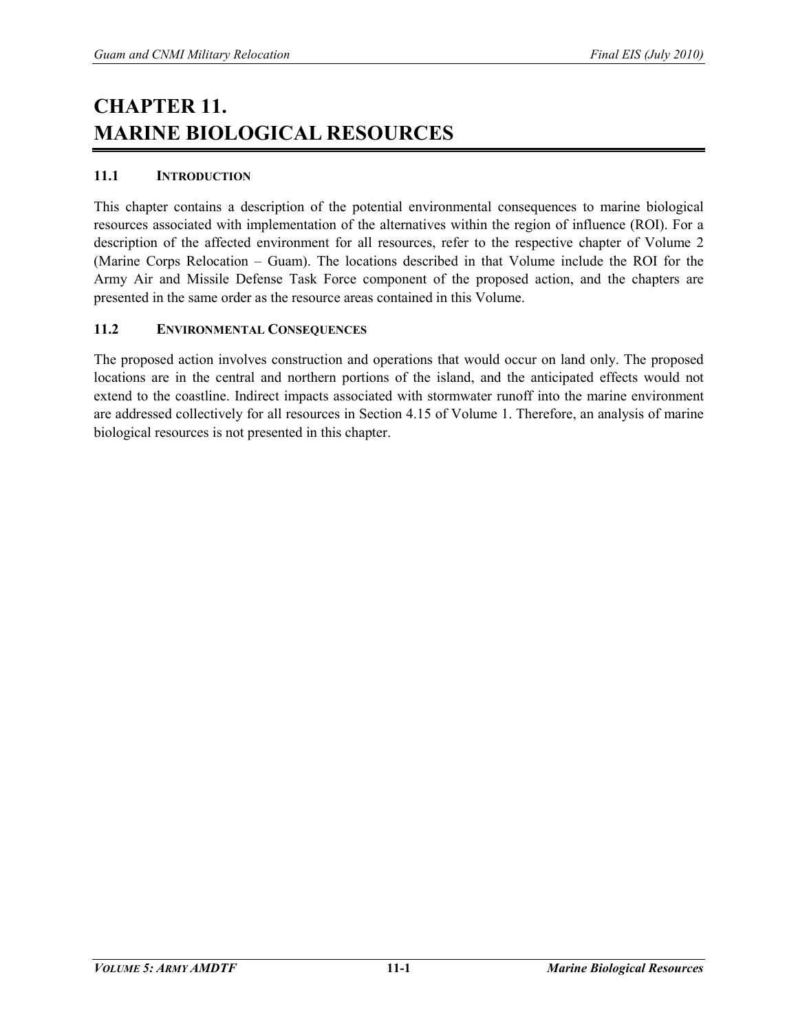## **CHAPTER 11. MARINE BIOLOGICAL RESOURCES**

## **11.1 INTRODUCTION**

This chapter contains a description of the potential environmental consequences to marine biological resources associated with implementation of the alternatives within the region of influence (ROI). For a description of the affected environment for all resources, refer to the respective chapter of Volume 2 (Marine Corps Relocation – Guam). The locations described in that Volume include the ROI for the Army Air and Missile Defense Task Force component of the proposed action, and the chapters are presented in the same order as the resource areas contained in this Volume.

## **11.2 ENVIRONMENTAL CONSEQUENCES**

The proposed action involves construction and operations that would occur on land only. The proposed locations are in the central and northern portions of the island, and the anticipated effects would not extend to the coastline. Indirect impacts associated with stormwater runoff into the marine environment are addressed collectively for all resources in Section 4.15 of Volume 1. Therefore, an analysis of marine biological resources is not presented in this chapter.